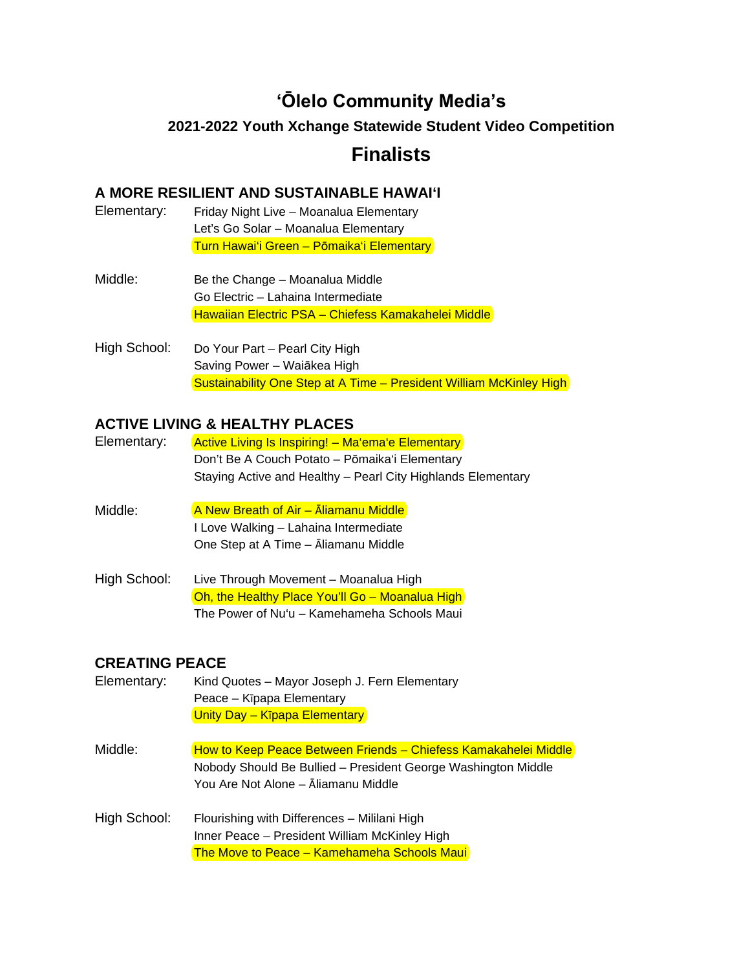# **'Ōlelo Community Media's**

## **2021-2022 Youth Xchange Statewide Student Video Competition**

# **Finalists**

### **A MORE RESILIENT AND SUSTAINABLE HAWAI'I**

| Elementary: | Friday Night Live - Moanalua Elementary          |
|-------------|--------------------------------------------------|
|             | Let's Go Solar - Moanalua Elementary             |
|             | <b>Turn Hawai'i Green – Pōmaika'i Elementary</b> |

- Middle: Be the Change Moanalua Middle Go Electric – Lahaina Intermediate Hawaiian Electric PSA – Chiefess Kamakahelei Middle
- High School: Do Your Part Pearl City High Saving Power – Waiākea High Sustainability One Step at A Time - President William McKinley High

### **ACTIVE LIVING & HEALTHY PLACES**

| Elementary: | Active Living Is Inspiring! - Ma'ema'e Elementary            |
|-------------|--------------------------------------------------------------|
|             | Don't Be A Couch Potato – Pōmaika'i Elementary               |
|             | Staying Active and Healthy - Pearl City Highlands Elementary |

- Middle:  $A$  New Breath of Air Aliamanu Middle I Love Walking – Lahaina Intermediate One Step at A Time – Āliamanu Middle
- High School: Live Through Movement Moanalua High Oh, the Healthy Place You'll Go - Moanalua High The Power of Nu'u – Kamehameha Schools Maui

### **CREATING PEACE**

| Elementary:  | Kind Quotes - Mayor Joseph J. Fern Elementary<br>Peace - Kīpapa Elementary |
|--------------|----------------------------------------------------------------------------|
|              | Unity Day - Kipapa Elementary                                              |
|              |                                                                            |
| Middle:      | How to Keep Peace Between Friends – Chiefess Kamakahelei Middle            |
|              | Nobody Should Be Bullied - President George Washington Middle              |
|              | You Are Not Alone – Aliamanu Middle                                        |
| High School: | Flourishing with Differences – Mililani High                               |
|              | Inner Peace – President William McKinley High                              |
|              | <u>The Move to Peace – Kamehameha Schools Maui</u>                         |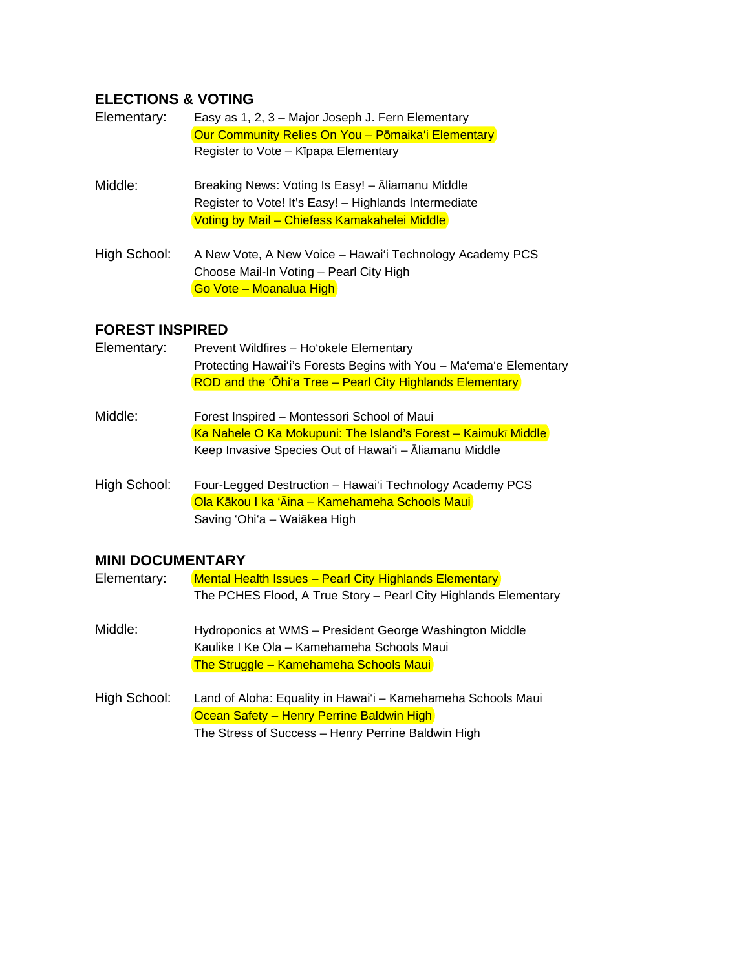### **ELECTIONS & VOTING**

| Elementary:            | Easy as 1, 2, 3 – Major Joseph J. Fern Elementary<br>Our Community Relies On You - Pōmaika'i Elementary<br>Register to Vote - Kīpapa Elementary                            |
|------------------------|----------------------------------------------------------------------------------------------------------------------------------------------------------------------------|
| Middle:                | Breaking News: Voting Is Easy! - Aliamanu Middle<br>Register to Vote! It's Easy! - Highlands Intermediate<br>Voting by Mail - Chiefess Kamakahelei Middle                  |
| High School:           | A New Vote, A New Voice - Hawai'i Technology Academy PCS<br>Choose Mail-In Voting - Pearl City High<br>Go Vote - Moanalua High                                             |
| <b>FOREST INSPIRED</b> |                                                                                                                                                                            |
| Elementary:            | Prevent Wildfires - Ho'okele Elementary<br>Protecting Hawai'i's Forests Begins with You - Ma'ema'e Elementary<br>ROD and the 'Ohi'a Tree - Pearl City Highlands Elementary |
| Middle:                | Forest Inspired - Montessori School of Maui<br>Ka Nahele O Ka Mokupuni: The Island's Forest - Kaimukī Middle<br>Keep Invasive Species Out of Hawai'i - Aliamanu Middle     |

High School: Four-Legged Destruction - Hawai'i Technology Academy PCS Ola Kākou I ka 'Āina – Kamehameha Schools Maui Saving 'Ohi'a – Waiākea High

# **MINI DOCUMENTARY**

| Elementary:  | <b>Mental Health Issues - Pearl City Highlands Elementary</b>   |
|--------------|-----------------------------------------------------------------|
|              | The PCHES Flood, A True Story - Pearl City Highlands Elementary |
| Middle:      | Hydroponics at WMS - President George Washington Middle         |
|              | Kaulike I Ke Ola – Kamehameha Schools Maui                      |
|              | <b>The Struggle – Kamehameha Schools Maui</b>                   |
|              |                                                                 |
| High School: | Land of Aloha: Equality in Hawai'i - Kamehameha Schools Maui    |
|              | Ocean Safety - Henry Perrine Baldwin High                       |
|              | The Stress of Success - Henry Perrine Baldwin High              |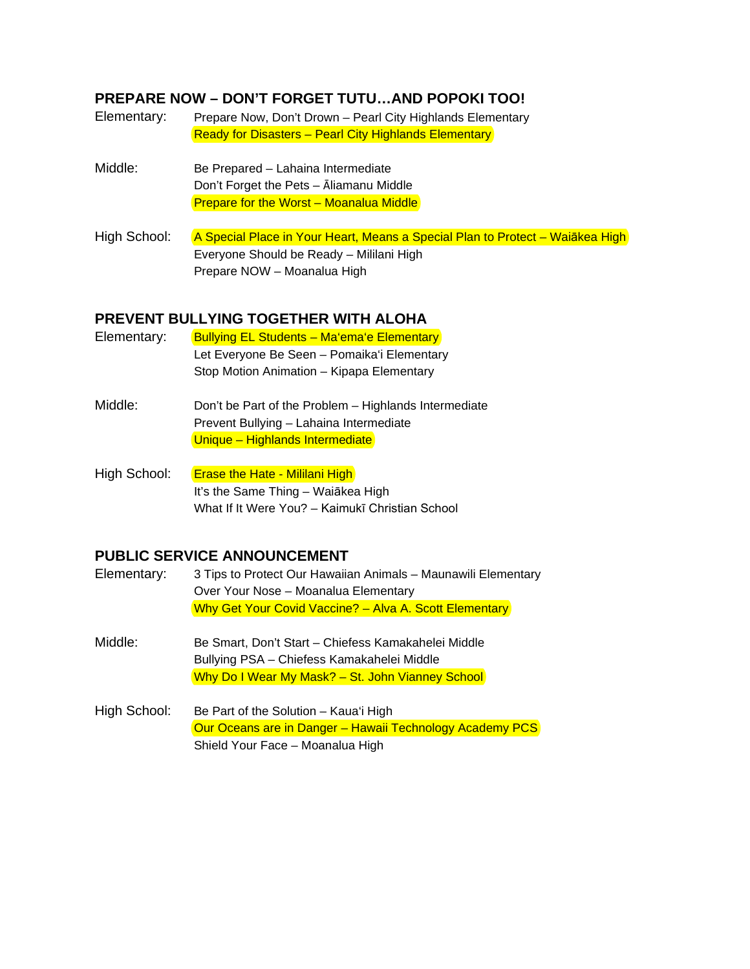### **PREPARE NOW – DON'T FORGET TUTU…AND POPOKI TOO!**

| Elementary:  | Prepare Now, Don't Drown - Pearl City Highlands Elementary                                                                      |
|--------------|---------------------------------------------------------------------------------------------------------------------------------|
|              | <b>Ready for Disasters - Pearl City Highlands Elementary</b>                                                                    |
| Middle:      | Be Prepared - Lahaina Intermediate<br>Don't Forget the Pets - Aliamanu Middle<br><b>Prepare for the Worst - Moanalua Middle</b> |
| High School: | A Special Place in Your Heart, Means a Special Plan to Protect – Waiakea High                                                   |
|              | Everyone Should be Ready - Mililani High                                                                                        |

#### Prepare NOW – Moanalua High

#### **PREVENT BULLYING TOGETHER WITH ALOHA**

- Elementary: Bullying EL Students Ma'ema'e Elementary Let Everyone Be Seen – Pomaika'i Elementary Stop Motion Animation – Kipapa Elementary
- Middle: Don't be Part of the Problem Highlands Intermediate Prevent Bullying – Lahaina Intermediate Unique – Highlands Intermediate
- High School: **Erase the Hate Mililani High** It's the Same Thing - Waiākea High What If It Were You? – Kaimukī Christian School

### **PUBLIC SERVICE ANNOUNCEMENT**

| Elementary:  | 3 Tips to Protect Our Hawaiian Animals - Maunawili Elementary |
|--------------|---------------------------------------------------------------|
|              | Over Your Nose - Moanalua Elementary                          |
|              | Why Get Your Covid Vaccine? - Alva A. Scott Elementary        |
|              |                                                               |
| Middle:      | Be Smart, Don't Start - Chiefess Kamakahelei Middle           |
|              | Bullying PSA - Chiefess Kamakahelei Middle                    |
|              | Why Do I Wear My Mask? - St. John Vianney School              |
|              |                                                               |
| High School: | Be Part of the Solution – Kaua'i High                         |
|              | Our Oceans are in Danger - Hawaii Technology Academy PCS      |
|              | Shield Your Face - Moanalua High                              |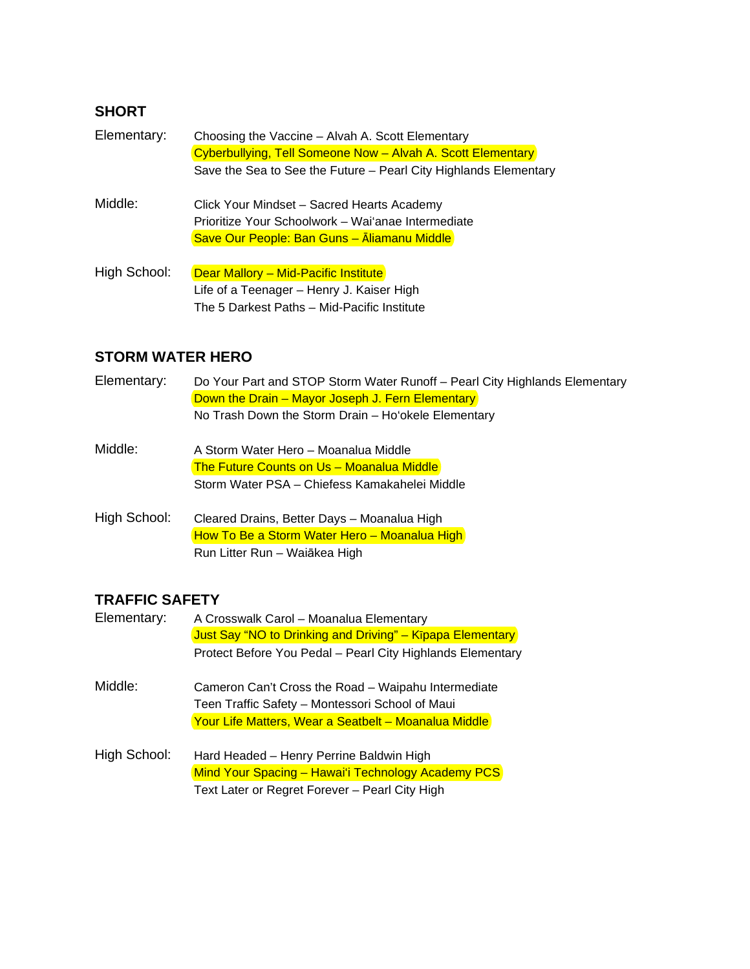# **SHORT**

| Elementary:  | Choosing the Vaccine – Alvah A. Scott Elementary                 |
|--------------|------------------------------------------------------------------|
|              | Cyberbullying, Tell Someone Now - Alvah A. Scott Elementary      |
|              | Save the Sea to See the Future - Pearl City Highlands Elementary |
| Middle:      | Click Your Mindset – Sacred Hearts Academy                       |
|              | Prioritize Your Schoolwork - Wai'anae Intermediate               |
|              | Save Our People: Ban Guns - Aliamanu Middle                      |
|              |                                                                  |
| High School: | Dear Mallory - Mid-Pacific Institute                             |
|              | Life of a Teenager - Henry J. Kaiser High                        |
|              | The 5 Darkest Paths - Mid-Pacific Institute                      |

# **STORM WATER HERO**

| Elementary:  | Do Your Part and STOP Storm Water Runoff – Pearl City Highlands Elementary |
|--------------|----------------------------------------------------------------------------|
|              | Down the Drain – Mayor Joseph J. Fern Elementary                           |
|              | No Trash Down the Storm Drain - Ho'okele Elementary                        |
| Middle:      | A Storm Water Hero - Moanalua Middle                                       |
|              | The Future Counts on Us - Moanalua Middle                                  |
|              | Storm Water PSA - Chiefess Kamakahelei Middle                              |
| High School: | Cleared Drains, Better Days - Moanalua High                                |
|              | <u> How To Be a Storm Water Hero – Moanalua High</u>                       |
|              | Run Litter Run - Waiākea High                                              |

# **TRAFFIC SAFETY**

| Elementary:  | A Crosswalk Carol - Moanalua Elementary                                                                                                                        |
|--------------|----------------------------------------------------------------------------------------------------------------------------------------------------------------|
|              | Just Say "NO to Drinking and Driving" - Kipapa Elementary                                                                                                      |
|              | Protect Before You Pedal - Pearl City Highlands Elementary                                                                                                     |
| Middle:      | Cameron Can't Cross the Road - Waipahu Intermediate<br>Teen Traffic Safety - Montessori School of Maui<br>Your Life Matters, Wear a Seatbelt - Moanalua Middle |
| High School: | Hard Headed - Henry Perrine Baldwin High<br>Mind Your Spacing - Hawai'i Technology Academy PCS                                                                 |
|              | Text Later or Regret Forever - Pearl City High                                                                                                                 |